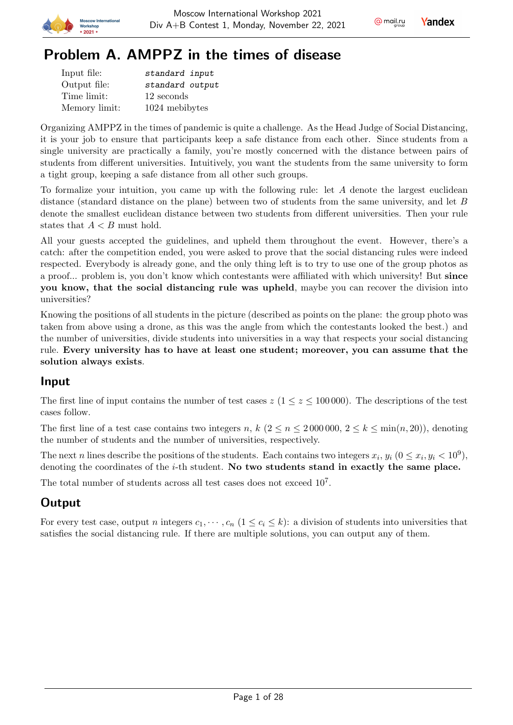

# Problem A. AMPPZ in the times of disease

| Input file:   | standard input  |
|---------------|-----------------|
| Output file:  | standard output |
| Time limit:   | 12 seconds      |
| Memory limit: | 1024 mebibytes  |

Organizing AMPPZ in the times of pandemic is quite a challenge. As the Head Judge of Social Distancing, it is your job to ensure that participants keep a safe distance from each other. Since students from a single university are practically a family, you're mostly concerned with the distance between pairs of students from different universities. Intuitively, you want the students from the same university to form a tight group, keeping a safe distance from all other such groups.

To formalize your intuition, you came up with the following rule: let  $A$  denote the largest euclidean distance (standard distance on the plane) between two of students from the same university, and let  $B$ denote the smallest euclidean distance between two students from different universities. Then your rule states that  $A < B$  must hold.

All your guests accepted the guidelines, and upheld them throughout the event. However, there's a catch: after the competition ended, you were asked to prove that the social distancing rules were indeed respected. Everybody is already gone, and the only thing left is to try to use one of the group photos as a proof... problem is, you don't know which contestants were affiliated with which university! But since you know, that the social distancing rule was upheld, maybe you can recover the division into universities?

Knowing the positions of all students in the picture (described as points on the plane: the group photo was taken from above using a drone, as this was the angle from which the contestants looked the best.) and the number of universities, divide students into universities in a way that respects your social distancing rule. Every university has to have at least one student; moreover, you can assume that the solution always exists.

# Input

The first line of input contains the number of test cases  $z (1 \le z \le 100000)$ . The descriptions of the test cases follow.

The first line of a test case contains two integers n,  $k$   $(2 \le n \le 2000000, 2 \le k \le \min(n, 20))$ , denoting the number of students and the number of universities, respectively.

The next *n* lines describe the positions of the students. Each contains two integers  $x_i$ ,  $y_i$   $(0 \le x_i, y_i < 10^9)$ , denoting the coordinates of the  $i$ -th student. No two students stand in exactly the same place.

The total number of students across all test cases does not exceed  $10<sup>7</sup>$ .

# **Output**

For every test case, output *n* integers  $c_1, \dots, c_n$   $(1 \leq c_i \leq k)$ : a division of students into universities that satisfies the social distancing rule. If there are multiple solutions, you can output any of them.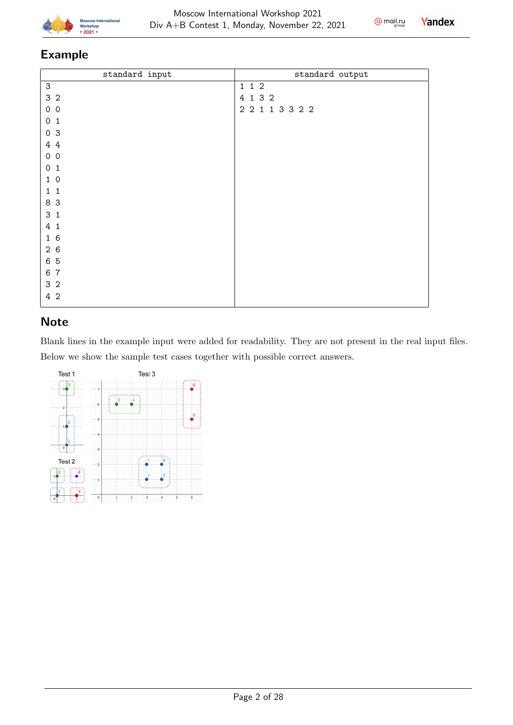

 $Q$  mail.ru

Yandex

# Example

| standard input            | standard output   |
|---------------------------|-------------------|
| $\ensuremath{\mathsf{3}}$ | 1 1 2             |
| 3 <sub>2</sub>            | 4 1 3 2           |
| $0\quad 0$                | $2$ 2 1 1 3 3 2 2 |
| 0 <sub>1</sub>            |                   |
| 0 <sup>3</sup>            |                   |
| 4 4                       |                   |
| 0 <sub>0</sub>            |                   |
| 0 <sub>1</sub>            |                   |
| 10                        |                   |
| $1\quad1$                 |                   |
| 8 3                       |                   |
| 3 <sub>1</sub>            |                   |
| 4 1                       |                   |
| 16                        |                   |
| 26                        |                   |
| 6 5                       |                   |
| 6 7                       |                   |
| 3 <sub>2</sub>            |                   |
| 4 2                       |                   |

# **Note**

Blank lines in the example input were added for readability. They are not present in the real input files. Below we show the sample test cases together with possible correct answers.

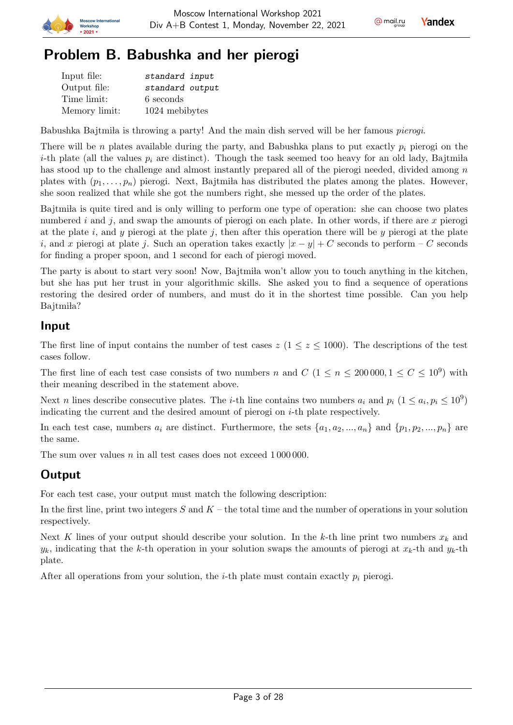

# Problem B. Babushka and her pierogi

| Input file:   | standard input  |
|---------------|-----------------|
| Output file:  | standard output |
| Time limit:   | 6 seconds       |
| Memory limit: | 1024 mebibytes  |

Babushka Bajtmila is throwing a party! And the main dish served will be her famous *pierogi*.

There will be *n* plates available during the party, and Babushka plans to put exactly  $p_i$  pierogi on the *i*-th plate (all the values  $p_i$  are distinct). Though the task seemed too heavy for an old lady, Bajtmiia has stood up to the challenge and almost instantly prepared all of the pierogi needed, divided among  $n$ plates with  $(p_1, \ldots, p_n)$  pierogi. Next, Bajtmila has distributed the plates among the plates. However, she soon realized that while she got the numbers right, she messed up the order of the plates.

Bajtmila is quite tired and is only willing to perform one type of operation: she can choose two plates numbered  $i$  and  $j$ , and swap the amounts of pierogi on each plate. In other words, if there are  $x$  pierogi at the plate i, and y pierogi at the plate j, then after this operation there will be y pierogi at the plate i, and x pierogi at plate j. Such an operation takes exactly  $|x - y| + C$  seconds to perform – C seconds for finding a proper spoon, and 1 second for each of pierogi moved.

The party is about to start very soon! Now, Bajtmila won't allow you to touch anything in the kitchen, but she has put her trust in your algorithmic skills. She asked you to find a sequence of operations restoring the desired order of numbers, and must do it in the shortest time possible. Can you help Bajtmiła?

#### Input

The first line of input contains the number of test cases  $z$  ( $1 \leq z \leq 1000$ ). The descriptions of the test cases follow.

The first line of each test case consists of two numbers *n* and  $C$  ( $1 \le n \le 200000, 1 \le C \le 10^9$ ) with their meaning described in the statement above.

Next *n* lines describe consecutive plates. The *i*-th line contains two numbers  $a_i$  and  $p_i$   $(1 \le a_i, p_i \le 10^9)$ indicating the current and the desired amount of pierogi on  $i$ -th plate respectively.

In each test case, numbers  $a_i$  are distinct. Furthermore, the sets  $\{a_1, a_2, ..., a_n\}$  and  $\{p_1, p_2, ..., p_n\}$  are the same.

The sum over values  $n$  in all test cases does not exceed  $1\,000\,000$ .

# Output

For each test case, your output must match the following description:

In the first line, print two integers  $S$  and  $K$  – the total time and the number of operations in your solution respectively.

Next K lines of your output should describe your solution. In the k-th line print two numbers  $x_k$  and  $y_k$ , indicating that the k-th operation in your solution swaps the amounts of pierogi at  $x_k$ -th and  $y_k$ -th plate.

After all operations from your solution, the *i*-th plate must contain exactly  $p_i$  pierogi.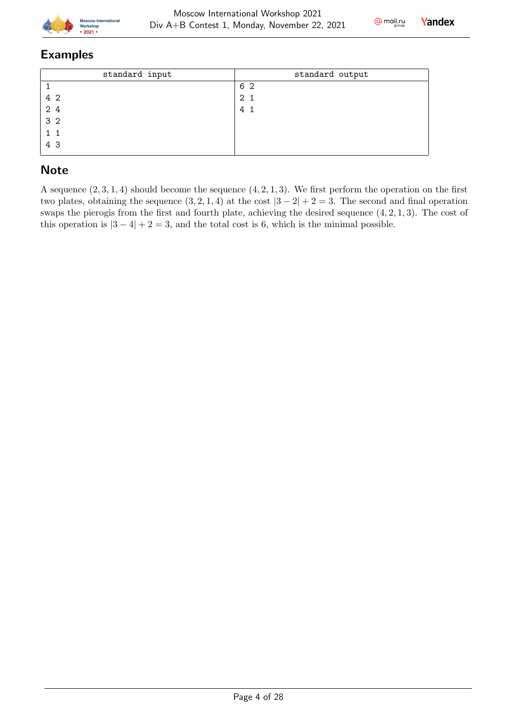



#### Examples

| standard input | standard output |
|----------------|-----------------|
|                | 6 2             |
| 4 2            | 2 <sub>1</sub>  |
| 2 4            | 4               |
| 3 <sub>2</sub> |                 |
| $1\quad1$      |                 |
| 4 3            |                 |

# **Note**

A sequence  $(2, 3, 1, 4)$  should become the sequence  $(4, 2, 1, 3)$ . We first perform the operation on the first two plates, obtaining the sequence  $(3, 2, 1, 4)$  at the cost  $|3 - 2| + 2 = 3$ . The second and final operation swaps the pierogis from the first and fourth plate, achieving the desired sequence  $(4, 2, 1, 3)$ . The cost of this operation is  $|3 - 4| + 2 = 3$ , and the total cost is 6, which is the minimal possible.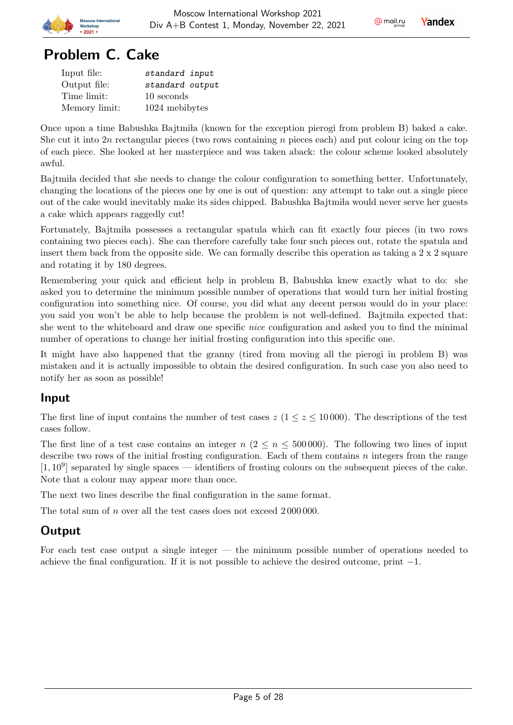

# Problem C. Cake

| Input file:   | standard input  |
|---------------|-----------------|
| Output file:  | standard output |
| Time limit:   | 10 seconds      |
| Memory limit: | 1024 mebibytes  |

Once upon a time Babushka Bajtmila (known for the exception pierogi from problem B) baked a cake. She cut it into 2n rectangular pieces (two rows containing  $n$  pieces each) and put colour icing on the top of each piece. She looked at her masterpiece and was taken aback: the colour scheme looked absolutely awful.

Bajtmila decided that she needs to change the colour configuration to something better. Unfortunately, changing the locations of the pieces one by one is out of question: any attempt to take out a single piece out of the cake would inevitably make its sides chipped. Babushka Bajtmila would never serve her guests a cake which appears raggedly cut!

Fortunately, Bajtmila possesses a rectangular spatula which can fit exactly four pieces (in two rows containing two pieces each). She can therefore carefully take four such pieces out, rotate the spatula and insert them back from the opposite side. We can formally describe this operation as taking a 2 x 2 square and rotating it by 180 degrees.

Remembering your quick and efficient help in problem B, Babushka knew exactly what to do: she asked you to determine the minimum possible number of operations that would turn her initial frosting configuration into something nice. Of course, you did what any decent person would do in your place: you said you won't be able to help because the problem is not well-defined. Bajtmi la expected that: she went to the whiteboard and draw one specific nice configuration and asked you to find the minimal number of operations to change her initial frosting configuration into this specific one.

It might have also happened that the granny (tired from moving all the pierogi in problem B) was mistaken and it is actually impossible to obtain the desired configuration. In such case you also need to notify her as soon as possible!

#### Input

The first line of input contains the number of test cases  $z$  ( $1 \le z \le 10000$ ). The descriptions of the test cases follow.

The first line of a test case contains an integer  $n (2 \le n \le 500000)$ . The following two lines of input describe two rows of the initial frosting configuration. Each of them contains  $n$  integers from the range  $[1, 10^9]$  separated by single spaces — identifiers of frosting colours on the subsequent pieces of the cake. Note that a colour may appear more than once.

The next two lines describe the final configuration in the same format.

The total sum of  $n$  over all the test cases does not exceed  $2000000$ .

# **Output**

For each test case output a single integer — the minimum possible number of operations needed to achieve the final configuration. If it is not possible to achieve the desired outcome, print −1.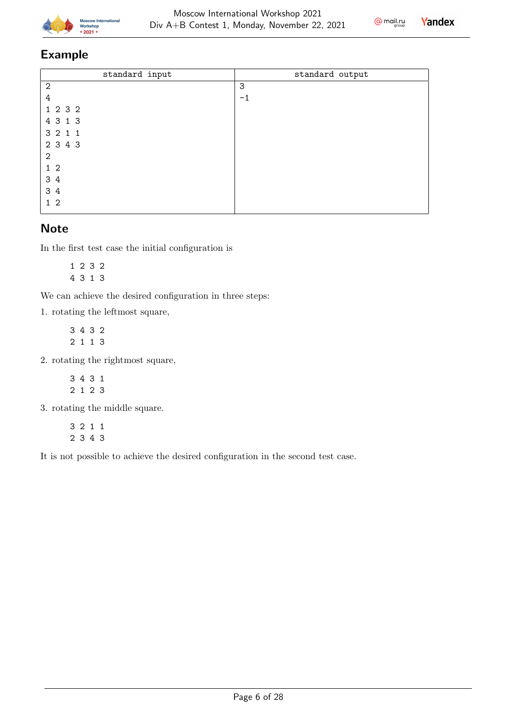



#### Example

| standard input | standard output |
|----------------|-----------------|
| $\overline{2}$ | 3               |
| 4              | $-1$            |
| 1 2 3 2        |                 |
| 4 3 1 3        |                 |
| 3 2 1 1        |                 |
| 2 3 4 3        |                 |
| 2              |                 |
| 1 <sub>2</sub> |                 |
| 3 4            |                 |
| 3 4            |                 |
| 1 <sub>2</sub> |                 |

#### **Note**

In the first test case the initial configuration is

1 2 3 2 4 3 1 3

We can achieve the desired configuration in three steps:

1. rotating the leftmost square,

3 4 3 2 2 1 1 3

2. rotating the rightmost square,

3 4 3 1 2 1 2 3

3. rotating the middle square.

3 2 1 1 2 3 4 3

It is not possible to achieve the desired configuration in the second test case.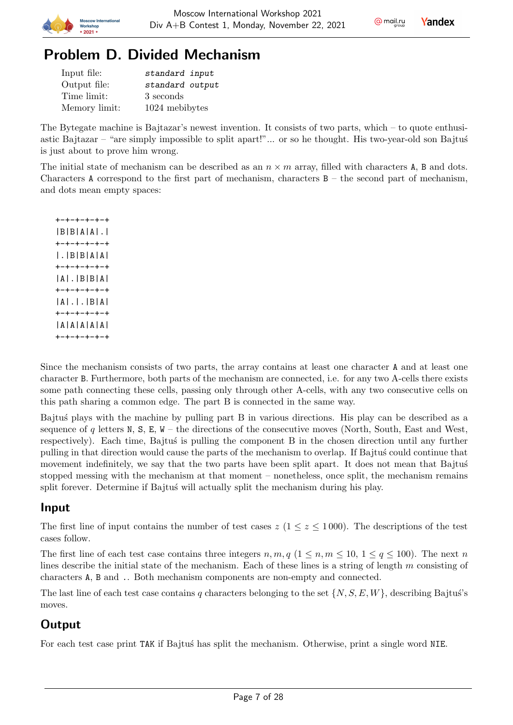



# Problem D. Divided Mechanism

Moscow Internatio

2021

| Input file:   | standard input  |
|---------------|-----------------|
| Output file:  | standard output |
| Time limit:   | 3 seconds       |
| Memory limit: | 1024 mebibytes  |

The Bytegate machine is Bajtazar's newest invention. It consists of two parts, which – to quote enthusiastic Bajtazar – "are simply impossible to split apart!"... or so he thought. His two-year-old son Bajtus is just about to prove him wrong.

The initial state of mechanism can be described as an  $n \times m$  array, filled with characters A, B and dots. Characters A correspond to the first part of mechanism, characters  $B -$  the second part of mechanism, and dots mean empty spaces:

+-+-+-+-+-+ |B|B|A|A|.| +-+-+-+-+-+ |.|B|B|A|A| +-+-+-+-+-+ |A|.|B|B|A| +-+-+-+-+-+ |A|.|.|B|A| +-+-+-+-+-+ |A|A|A|A|A| +-+-+-+-+-+

Since the mechanism consists of two parts, the array contains at least one character A and at least one character B. Furthermore, both parts of the mechanism are connected, i.e. for any two A-cells there exists some path connecting these cells, passing only through other A-cells, with any two consecutive cells on this path sharing a common edge. The part B is connected in the same way.

Bajtu's plays with the machine by pulling part B in various directions. His play can be described as a sequence of  $q$  letters N, S, E, W – the directions of the consecutive moves (North, South, East and West, respectively). Each time, Bajtus is pulling the component B in the chosen direction until any further pulling in that direction would cause the parts of the mechanism to overlap. If Bajtu's could continue that movement indefinitely, we say that the two parts have been split apart. It does not mean that Bajtus stopped messing with the mechanism at that moment – nonetheless, once split, the mechanism remains split forever. Determine if Bajtus' will actually split the mechanism during his play.

# Input

The first line of input contains the number of test cases  $z (1 \le z \le 1000)$ . The descriptions of the test cases follow.

The first line of each test case contains three integers  $n, m, q$  ( $1 \leq n, m \leq 10, 1 \leq q \leq 100$ ). The next n lines describe the initial state of the mechanism. Each of these lines is a string of length  $m$  consisting of characters A, B and .. Both mechanism components are non-empty and connected.

The last line of each test case contains q characters belonging to the set  $\{N, S, E, W\}$ , describing Bajtus's moves.

# **Output**

For each test case print TAK if Bajtus' has split the mechanism. Otherwise, print a single word NIE.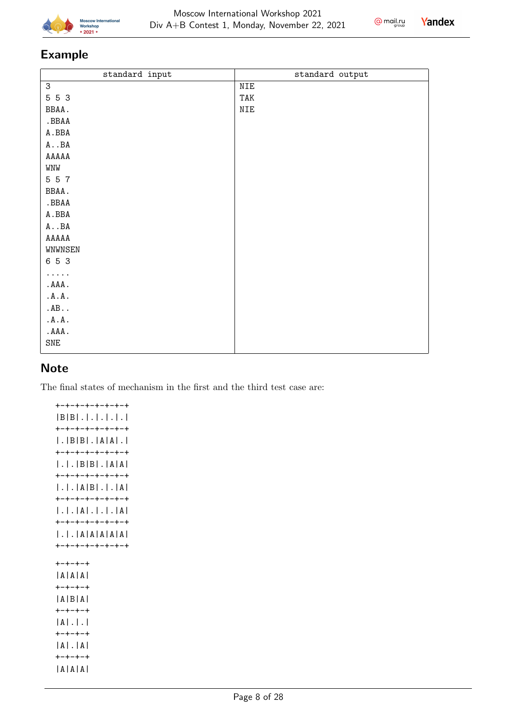



# Example

| standard input | standard output |
|----------------|-----------------|
| 3              | NIE             |
| 5 5 3          | TAK             |
| BBAA.          | NIE             |
| .BBAA          |                 |
| $\tt A$ . BBA  |                 |
| $A \cdot B A$  |                 |
| ${\tt AAAAA}$  |                 |
| WNW            |                 |
| 5 5 7          |                 |
| BBAA.          |                 |
| .BBAA          |                 |
| $\tt A$ . BBA  |                 |
| $A \cdot B A$  |                 |
| AAAAA          |                 |
| WNWNSEN        |                 |
| 6 5 3          |                 |
| $\cdots$ .     |                 |
| .AAA.          |                 |
| .A.A.          |                 |
| AB             |                 |
| .A.A.          |                 |
| .AAA.          |                 |
| SNE            |                 |
|                |                 |

#### **Note**

The final states of mechanism in the first and the third test case are:

+-+-+-+-+-+-+-+ |B|B|.|.|.|.|.| +-+-+-+-+-+-+-+ |.|B|B|.|A|A|.| +-+-+-+-+-+-+-+ |.|.|B|B|.|A|A| +-+-+-+-+-+-+-+ |.|.|A|B|.|.|A| +-+-+-+-+-+-+-+ |.|.|A|.|.|.|A| +-+-+-+-+-+-+-+ |.|.|A|A|A|A|A| +-+-+-+-+-+-+-+ +-+-+-+ |A|A|A| +-+-+-+ |A|B|A| +-+-+-+ |A|.|.| +-+-+-+ |A|.|A| +-+-+-+ |A|A|A|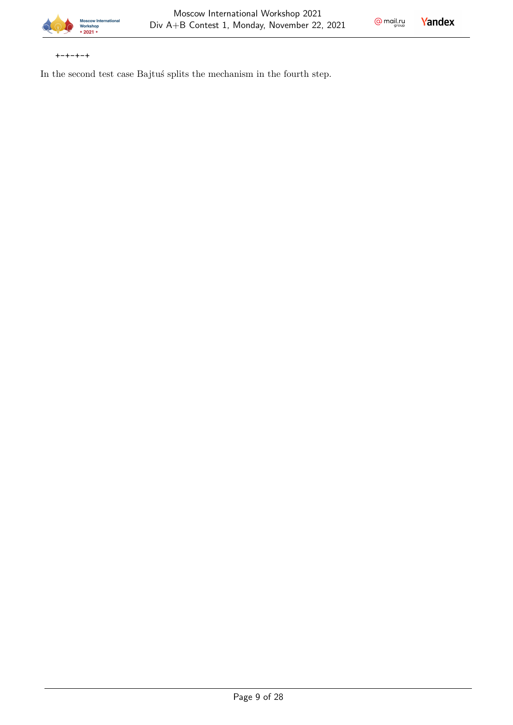

 $Q$  mail.ru

**Yandex** 

+-+-+-+

In the second test case Bajtus' splits the mechanism in the fourth step.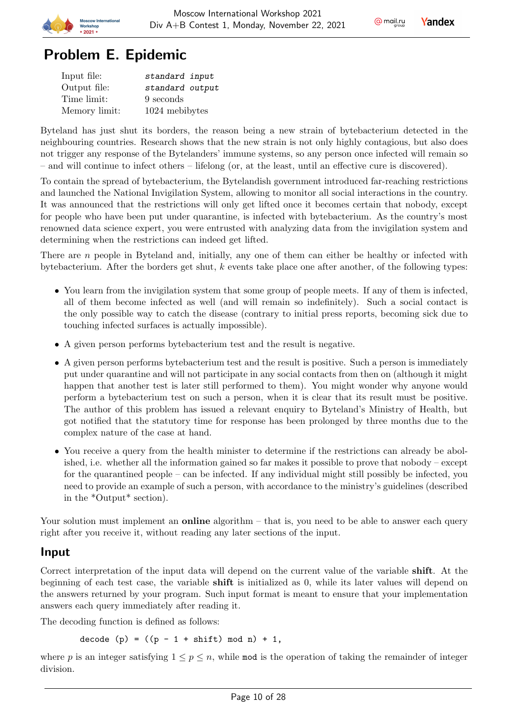



# Problem E. Epidemic

| Input file:   | standard input  |
|---------------|-----------------|
| Output file:  | standard output |
| Time limit:   | 9 seconds       |
| Memory limit: | 1024 mebibytes  |

Byteland has just shut its borders, the reason being a new strain of bytebacterium detected in the neighbouring countries. Research shows that the new strain is not only highly contagious, but also does not trigger any response of the Bytelanders' immune systems, so any person once infected will remain so – and will continue to infect others – lifelong (or, at the least, until an effective cure is discovered).

To contain the spread of bytebacterium, the Bytelandish government introduced far-reaching restrictions and launched the National Invigilation System, allowing to monitor all social interactions in the country. It was announced that the restrictions will only get lifted once it becomes certain that nobody, except for people who have been put under quarantine, is infected with bytebacterium. As the country's most renowned data science expert, you were entrusted with analyzing data from the invigilation system and determining when the restrictions can indeed get lifted.

There are  $n$  people in Byteland and, initially, any one of them can either be healthy or infected with bytebacterium. After the borders get shut,  $k$  events take place one after another, of the following types:

- You learn from the invigilation system that some group of people meets. If any of them is infected, all of them become infected as well (and will remain so indefinitely). Such a social contact is the only possible way to catch the disease (contrary to initial press reports, becoming sick due to touching infected surfaces is actually impossible).
- A given person performs bytebacterium test and the result is negative.
- A given person performs bytebacterium test and the result is positive. Such a person is immediately put under quarantine and will not participate in any social contacts from then on (although it might happen that another test is later still performed to them). You might wonder why anyone would perform a bytebacterium test on such a person, when it is clear that its result must be positive. The author of this problem has issued a relevant enquiry to Byteland's Ministry of Health, but got notified that the statutory time for response has been prolonged by three months due to the complex nature of the case at hand.
- You receive a query from the health minister to determine if the restrictions can already be abolished, i.e. whether all the information gained so far makes it possible to prove that nobody – except for the quarantined people – can be infected. If any individual might still possibly be infected, you need to provide an example of such a person, with accordance to the ministry's guidelines (described in the \*Output\* section).

Your solution must implement an **online** algorithm  $-$  that is, you need to be able to answer each query right after you receive it, without reading any later sections of the input.

#### Input

Correct interpretation of the input data will depend on the current value of the variable shift. At the beginning of each test case, the variable shift is initialized as 0, while its later values will depend on the answers returned by your program. Such input format is meant to ensure that your implementation answers each query immediately after reading it.

The decoding function is defined as follows:

decode (p) =  $((p - 1 + shift) mod n) + 1$ ,

where p is an integer satisfying  $1 \le p \le n$ , while mod is the operation of taking the remainder of integer division.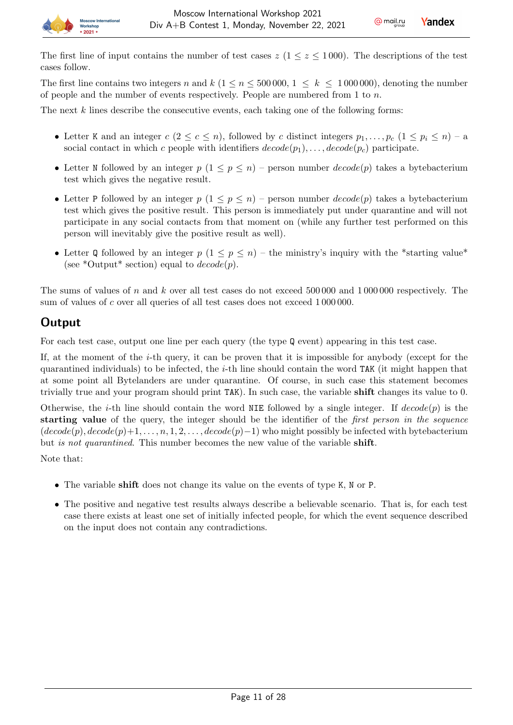

The first line contains two integers n and  $k$  ( $1 \le n \le 500000$ ,  $1 \le k \le 1000000$ ), denoting the number of people and the number of events respectively. People are numbered from 1 to  $n$ .

The next  $k$  lines describe the consecutive events, each taking one of the following forms:

- Letter K and an integer  $c (2 \leq c \leq n)$ , followed by c distinct integers  $p_1, \ldots, p_c$   $(1 \leq p_i \leq n) a$ social contact in which c people with identifiers  $decode(p_1), \ldots, decode(p_c)$  participate.
- Letter N followed by an integer  $p(1 \leq p \leq n)$  person number  $decode(p)$  takes a bytebacterium test which gives the negative result.
- Letter P followed by an integer  $p(1 \leq p \leq n)$  person number  $decode(p)$  takes a bytebacterium test which gives the positive result. This person is immediately put under quarantine and will not participate in any social contacts from that moment on (while any further test performed on this person will inevitably give the positive result as well).
- Letter Q followed by an integer  $p(1 \leq p \leq n)$  the ministry's inquiry with the \*starting value\* (see \*Output\* section) equal to  $decode(p)$ .

The sums of values of  $n$  and  $k$  over all test cases do not exceed 500 000 and 1 000 000 respectively. The sum of values of c over all queries of all test cases does not exceed 1000000.

### **Output**

**Anscow Inter** 

 $2021$ 

For each test case, output one line per each query (the type Q event) appearing in this test case.

If, at the moment of the *i*-th query, it can be proven that it is impossible for anybody (except for the quarantined individuals) to be infected, the  $i$ -th line should contain the word TAK (it might happen that at some point all Bytelanders are under quarantine. Of course, in such case this statement becomes trivially true and your program should print TAK). In such case, the variable shift changes its value to 0.

Otherwise, the *i*-th line should contain the word NIE followed by a single integer. If  $decode(p)$  is the starting value of the query, the integer should be the identifier of the *first person in the sequence*  $(decode(p), decode(p)+1, \ldots, n, 1, 2, \ldots, decode(p)-1)$  who might possibly be infected with bytebacterium but is not quarantined. This number becomes the new value of the variable shift.

Note that:

- The variable shift does not change its value on the events of type K, N or P.
- The positive and negative test results always describe a believable scenario. That is, for each test case there exists at least one set of initially infected people, for which the event sequence described on the input does not contain any contradictions.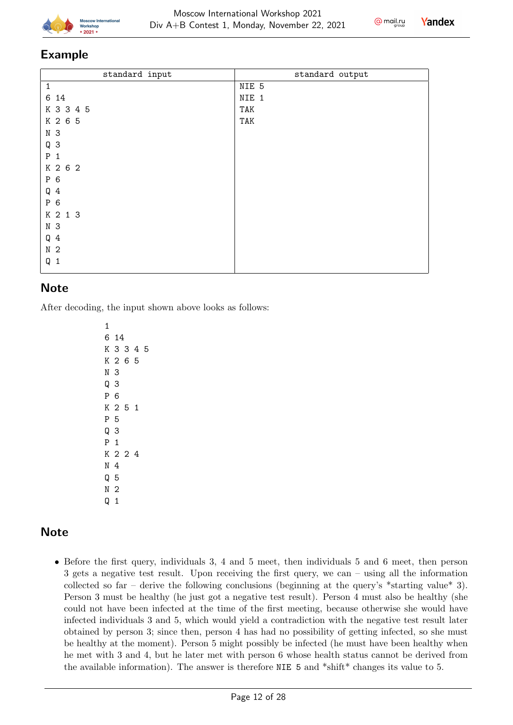



#### Example

| standard input | standard output |
|----------------|-----------------|
| 1              | NIE 5           |
| 6 14           | NIE 1           |
| K 3 3 4 5      | TAK             |
| K 2 6 5        | TAK             |
| N <sub>3</sub> |                 |
| Q <sub>3</sub> |                 |
| $P_1$          |                 |
| K 2 6 2        |                 |
| P 6            |                 |
| $Q_4$          |                 |
| P 6            |                 |
| K 2 1 3        |                 |
| N 3            |                 |
| $Q_4$          |                 |
| N <sub>2</sub> |                 |
| $Q_1$          |                 |
|                |                 |

#### **Note**

After decoding, the input shown above looks as follows:

# **Note**

• Before the first query, individuals 3, 4 and 5 meet, then individuals 5 and 6 meet, then person 3 gets a negative test result. Upon receiving the first query, we can – using all the information collected so far – derive the following conclusions (beginning at the query's  $*$ starting value $*$  3). Person 3 must be healthy (he just got a negative test result). Person 4 must also be healthy (she could not have been infected at the time of the first meeting, because otherwise she would have infected individuals 3 and 5, which would yield a contradiction with the negative test result later obtained by person 3; since then, person 4 has had no possibility of getting infected, so she must be healthy at the moment). Person 5 might possibly be infected (he must have been healthy when he met with 3 and 4, but he later met with person 6 whose health status cannot be derived from the available information). The answer is therefore NIE 5 and \*shift\* changes its value to 5.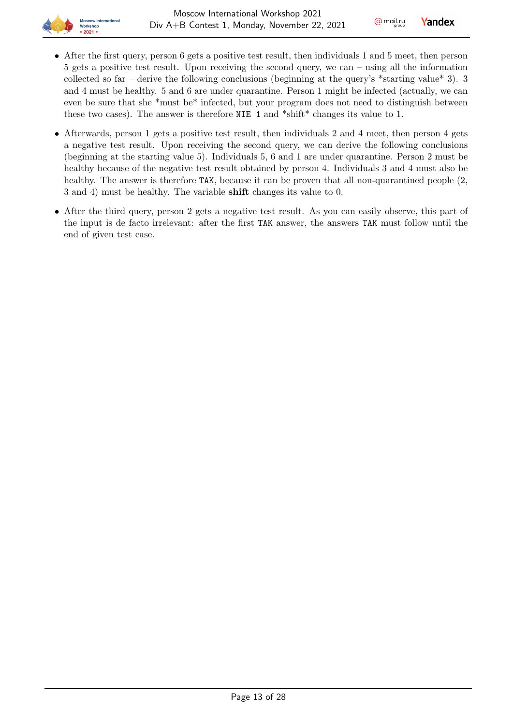

- After the first query, person 6 gets a positive test result, then individuals 1 and 5 meet, then person 5 gets a positive test result. Upon receiving the second query, we can – using all the information collected so far – derive the following conclusions (beginning at the query's \*starting value\* 3). 3 and 4 must be healthy. 5 and 6 are under quarantine. Person 1 might be infected (actually, we can even be sure that she \*must be\* infected, but your program does not need to distinguish between these two cases). The answer is therefore NIE 1 and \*shift\* changes its value to 1.
- Afterwards, person 1 gets a positive test result, then individuals 2 and 4 meet, then person 4 gets a negative test result. Upon receiving the second query, we can derive the following conclusions (beginning at the starting value 5). Individuals 5, 6 and 1 are under quarantine. Person 2 must be healthy because of the negative test result obtained by person 4. Individuals 3 and 4 must also be healthy. The answer is therefore TAK, because it can be proven that all non-quarantined people  $(2, 1)$ 3 and 4) must be healthy. The variable shift changes its value to 0.
- After the third query, person 2 gets a negative test result. As you can easily observe, this part of the input is de facto irrelevant: after the first TAK answer, the answers TAK must follow until the end of given test case.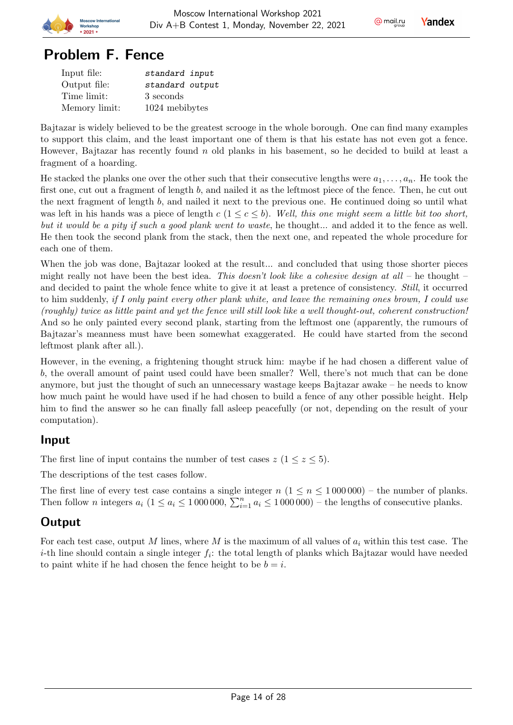

# Problem F. Fence

| Input file:   | standard input  |
|---------------|-----------------|
| Output file:  | standard output |
| Time limit:   | 3 seconds       |
| Memory limit: | 1024 mebibytes  |

Bajtazar is widely believed to be the greatest scrooge in the whole borough. One can find many examples to support this claim, and the least important one of them is that his estate has not even got a fence. However, Bajtazar has recently found  $n$  old planks in his basement, so he decided to build at least a fragment of a hoarding.

He stacked the planks one over the other such that their consecutive lengths were  $a_1, \ldots, a_n$ . He took the first one, cut out a fragment of length  $b$ , and nailed it as the leftmost piece of the fence. Then, he cut out the next fragment of length  $b$ , and nailed it next to the previous one. He continued doing so until what was left in his hands was a piece of length  $c (1 \leq c \leq b)$ . Well, this one might seem a little bit too short, but it would be a pity if such a good plank went to waste, he thought... and added it to the fence as well. He then took the second plank from the stack, then the next one, and repeated the whole procedure for each one of them.

When the job was done, Bajtazar looked at the result... and concluded that using those shorter pieces might really not have been the best idea. This doesn't look like a cohesive design at all – he thought – and decided to paint the whole fence white to give it at least a pretence of consistency. Still, it occurred to him suddenly, if I only paint every other plank white, and leave the remaining ones brown, I could use (roughly) twice as little paint and yet the fence will still look like a well thought-out, coherent construction! And so he only painted every second plank, starting from the leftmost one (apparently, the rumours of Bajtazar's meanness must have been somewhat exaggerated. He could have started from the second leftmost plank after all.).

However, in the evening, a frightening thought struck him: maybe if he had chosen a different value of , the overall amount of paint used could have been smaller? Well, there's not much that can be done anymore, but just the thought of such an unnecessary wastage keeps Bajtazar awake – he needs to know how much paint he would have used if he had chosen to build a fence of any other possible height. Help him to find the answer so he can finally fall asleep peacefully (or not, depending on the result of your computation).

#### Input

The first line of input contains the number of test cases  $z$  ( $1 \le z \le 5$ ).

The descriptions of the test cases follow.

The first line of every test case contains a single integer  $n (1 \le n \le 1000000)$  – the number of planks. Then follow *n* integers  $a_i$  ( $1 \le a_i \le 1000000$ ,  $\sum_{i=1}^n a_i \le 1000000$ ) – the lengths of consecutive planks.

# **Output**

For each test case, output M lines, where M is the maximum of all values of  $a_i$  within this test case. The *i*-th line should contain a single integer  $f_i$ : the total length of planks which Bajtazar would have needed to paint white if he had chosen the fence height to be  $b = i$ .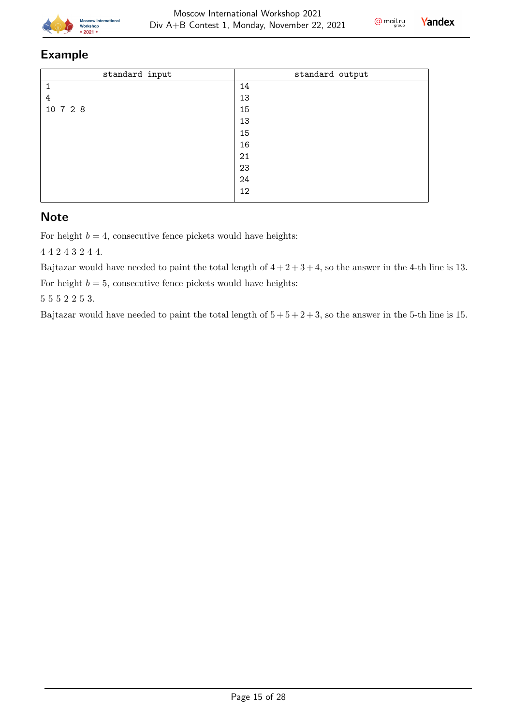



### Example

| standard output |
|-----------------|
| 14              |
| 13              |
| 15              |
| 13              |
| 15              |
| 16              |
| 21              |
| 23              |
| 24              |
| 12              |
|                 |

### **Note**

For height  $b = 4$ , consecutive fence pickets would have heights:

4 4 2 4 3 2 4 4.

Bajtazar would have needed to paint the total length of  $4 + 2 + 3 + 4$ , so the answer in the 4-th line is 13.

For height  $b = 5$ , consecutive fence pickets would have heights:

5 5 5 2 2 5 3.

Bajtazar would have needed to paint the total length of  $5 + 5 + 2 + 3$ , so the answer in the 5-th line is 15.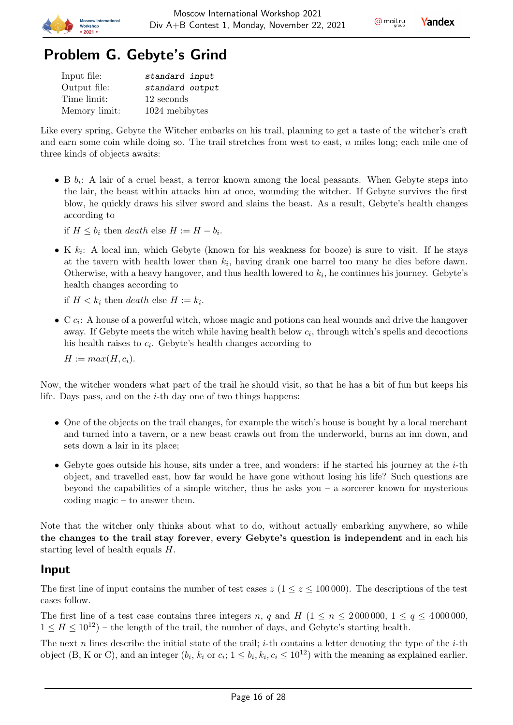



# Problem G. Gebyte's Grind

**Incrow Inte** 

2021

| Input file:   | standard input  |
|---------------|-----------------|
| Output file:  | standard output |
| Time limit:   | 12 seconds      |
| Memory limit: | 1024 mebibytes  |

Like every spring, Gebyte the Witcher embarks on his trail, planning to get a taste of the witcher's craft and earn some coin while doing so. The trail stretches from west to east,  $n$  miles long; each mile one of three kinds of objects awaits:

• B  $b_i$ : A lair of a cruel beast, a terror known among the local peasants. When Gebyte steps into the lair, the beast within attacks him at once, wounding the witcher. If Gebyte survives the first blow, he quickly draws his silver sword and slains the beast. As a result, Gebyte's health changes according to

if  $H \leq b_i$  then *death* else  $H := H - b_i$ .

• K  $k_i$ : A local inn, which Gebyte (known for his weakness for booze) is sure to visit. If he stays at the tavern with health lower than  $k_i$ , having drank one barrel too many he dies before dawn. Otherwise, with a heavy hangover, and thus health lowered to  $k_i$ , he continues his journey. Gebyte's health changes according to

if  $H < k_i$  then *death* else  $H := k_i$ .

 $\bullet$  C  $c_i$ : A house of a powerful witch, whose magic and potions can heal wounds and drive the hangover away. If Gebyte meets the witch while having health below  $c_i$ , through witch's spells and decoctions his health raises to  $c_i$ . Gebyte's health changes according to

 $H := max(H, c_i).$ 

Now, the witcher wonders what part of the trail he should visit, so that he has a bit of fun but keeps his life. Days pass, and on the  $i$ -th day one of two things happens:

- One of the objects on the trail changes, for example the witch's house is bought by a local merchant and turned into a tavern, or a new beast crawls out from the underworld, burns an inn down, and sets down a lair in its place;
- Gebyte goes outside his house, sits under a tree, and wonders: if he started his journey at the  $i$ -th object, and travelled east, how far would he have gone without losing his life? Such questions are beyond the capabilities of a simple witcher, thus he asks you – a sorcerer known for mysterious coding magic – to answer them.

Note that the witcher only thinks about what to do, without actually embarking anywhere, so while the changes to the trail stay forever, every Gebyte's question is independent and in each his starting level of health equals  $H$ .

#### Input

The first line of input contains the number of test cases  $z (1 \le z \le 100000)$ . The descriptions of the test cases follow.

The first line of a test case contains three integers n, q and H  $(1 \le n \le 2000000, 1 \le q \le 4000000,$  $1 \leq H \leq 10^{12}$ ) – the length of the trail, the number of days, and Gebyte's starting health.

The next *n* lines describe the initial state of the trail; *i*-th contains a letter denoting the type of the *i*-th object (B, K or C), and an integer  $(b_i, k_i$  or  $c_i$ ;  $1 \leq b_i, k_i, c_i \leq 10^{12}$ ) with the meaning as explained earlier.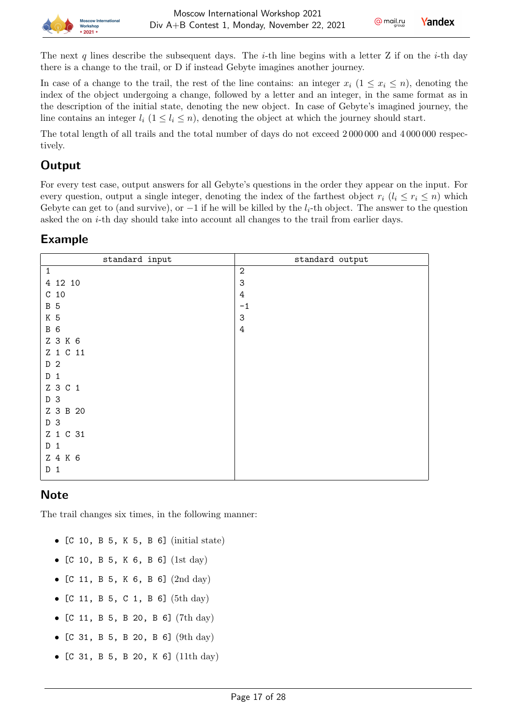

The next q lines describe the subsequent days. The *i*-th line begins with a letter Z if on the *i*-th day there is a change to the trail, or D if instead Gebyte imagines another journey.

In case of a change to the trail, the rest of the line contains: an integer  $x_i$   $(1 \leq x_i \leq n)$ , denoting the index of the object undergoing a change, followed by a letter and an integer, in the same format as in the description of the initial state, denoting the new object. In case of Gebyte's imagined journey, the line contains an integer  $l_i$   $(1 \leq l_i \leq n)$ , denoting the object at which the journey should start.

The total length of all trails and the total number of days do not exceed 2 000 000 and 4 000 000 respectively.

# **Output**

For every test case, output answers for all Gebyte's questions in the order they appear on the input. For every question, output a single integer, denoting the index of the farthest object  $r_i$   $(l_i \leq r_i \leq n)$  which Gebyte can get to (and survive), or  $-1$  if he will be killed by the  $l_i$ -th object. The answer to the question asked the on  $i$ -th day should take into account all changes to the trail from earlier days.

#### Example

| standard input      | standard output |
|---------------------|-----------------|
| $\mathbf{1}$        | $\overline{2}$  |
| 4 12 10             | 3               |
| C <sub>10</sub>     | $\,4\,$         |
| <b>B</b> 5          | $-1$            |
| K 5                 | 3               |
| <b>B</b> 6          | $\,4\,$         |
| Z 3 K 6             |                 |
| Z 1 C 11            |                 |
| D <sub>2</sub>      |                 |
| D<br>$\overline{1}$ |                 |
| Z 3 C 1             |                 |
| D 3                 |                 |
| Z 3 B 20            |                 |
| D 3                 |                 |
| Z 1 C 31            |                 |
| D<br>$\mathbf{1}$   |                 |
| Z 4 K 6             |                 |
| $\mathbf{1}$<br>D   |                 |

# **Note**

The trail changes six times, in the following manner:

- [C 10, B 5, K 5, B 6] (initial state)
- [C 10, B 5, K 6, B 6] (1st day)
- [C 11, B 5, K 6, B 6] (2nd day)
- [C 11, B 5, C 1, B 6] (5th day)
- [C 11, B 5, B 20, B 6] (7th day)
- [C 31, B 5, B 20, B 6] (9th day)
- [C 31, B 5, B 20, K 6]  $(11th day)$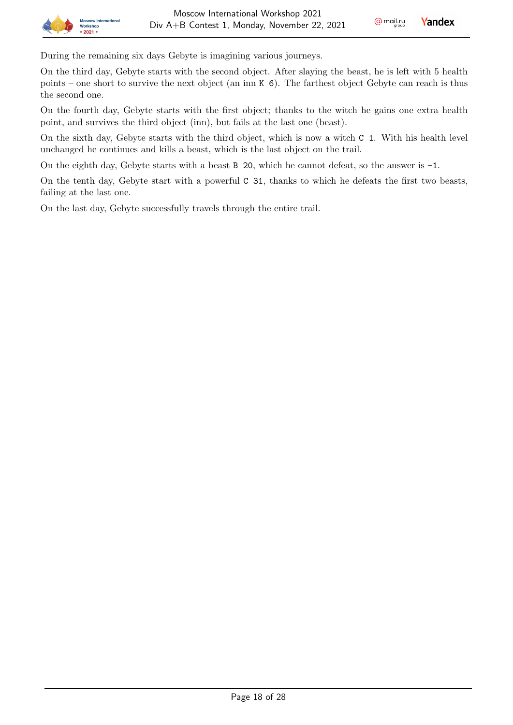During the remaining six days Gebyte is imagining various journeys.

On the third day, Gebyte starts with the second object. After slaying the beast, he is left with 5 health points – one short to survive the next object (an inn K 6). The farthest object Gebyte can reach is thus the second one.

On the fourth day, Gebyte starts with the first object; thanks to the witch he gains one extra health point, and survives the third object (inn), but fails at the last one (beast).

On the sixth day, Gebyte starts with the third object, which is now a witch C 1. With his health level unchanged he continues and kills a beast, which is the last object on the trail.

On the eighth day, Gebyte starts with a beast B 20, which he cannot defeat, so the answer is -1.

On the tenth day, Gebyte start with a powerful C 31, thanks to which he defeats the first two beasts, failing at the last one.

On the last day, Gebyte successfully travels through the entire trail.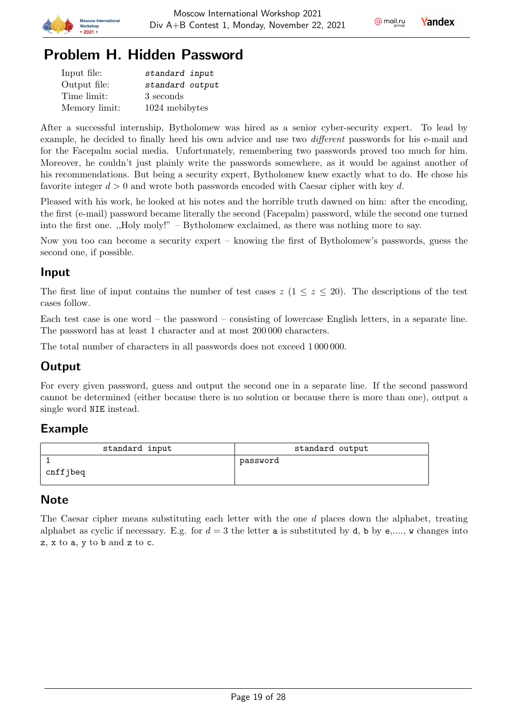

# Problem H. Hidden Password

| Input file:   | standard input  |
|---------------|-----------------|
| Output file:  | standard output |
| Time limit:   | 3 seconds       |
| Memory limit: | 1024 mebibytes  |

After a successful internship, Bytholomew was hired as a senior cyber-security expert. To lead by example, he decided to finally heed his own advice and use two different passwords for his e-mail and for the Facepalm social media. Unfortunately, remembering two passwords proved too much for him. Moreover, he couldn't just plainly write the passwords somewhere, as it would be against another of his recommendations. But being a security expert, Bytholomew knew exactly what to do. He chose his favorite integer  $d > 0$  and wrote both passwords encoded with Caesar cipher with key d.

Pleased with his work, he looked at his notes and the horrible truth dawned on him: after the encoding, the first (e-mail) password became literally the second (Facepalm) password, while the second one turned into the first one. ,,Holy moly!" – Bytholomew exclaimed, as there was nothing more to say.

Now you too can become a security expert – knowing the first of Bytholomew's passwords, guess the second one, if possible.

### Input

The first line of input contains the number of test cases  $z$  ( $1 \leq z \leq 20$ ). The descriptions of the test cases follow.

Each test case is one word – the password – consisting of lowercase English letters, in a separate line. The password has at least 1 character and at most 200 000 characters.

The total number of characters in all passwords does not exceed 1 000 000.

# Output

For every given password, guess and output the second one in a separate line. If the second password cannot be determined (either because there is no solution or because there is more than one), output a single word NIE instead.

#### Example

| standard input | standard output |
|----------------|-----------------|
| cnffjbeq       | password        |

# **Note**

The Caesar cipher means substituting each letter with the one  $d$  places down the alphabet, treating alphabet as cyclic if necessary. E.g. for  $d=3$  the letter a is substituted by d, b by e,..., w changes into z, x to a, y to b and z to c.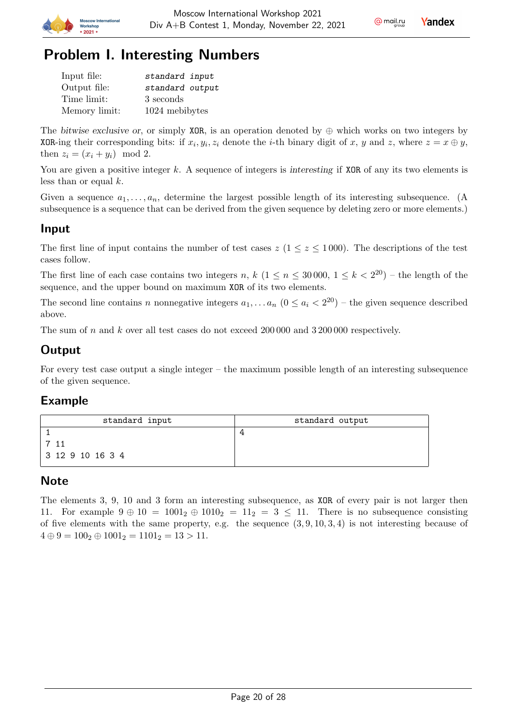

# Problem I. Interesting Numbers

| Input file:   | standard input  |
|---------------|-----------------|
| Output file:  | standard output |
| Time limit:   | 3 seconds       |
| Memory limit: | 1024 mebibytes  |

The bitwise exclusive or, or simply XOR, is an operation denoted by  $\oplus$  which works on two integers by XOR-ing their corresponding bits: if  $x_i, y_i, z_i$  denote the *i*-th binary digit of x, y and z, where  $z = x \oplus y$ , then  $z_i = (x_i + y_i) \mod 2$ .

You are given a positive integer  $k$ . A sequence of integers is interesting if XOR of any its two elements is less than or equal  $k$ .

Given a sequence  $a_1, \ldots, a_n$ , determine the largest possible length of its interesting subsequence. (A subsequence is a sequence that can be derived from the given sequence by deleting zero or more elements.)

### Input

The first line of input contains the number of test cases  $z$  ( $1 \le z \le 1000$ ). The descriptions of the test cases follow.

The first line of each case contains two integers n,  $k$   $(1 \le n \le 30000, 1 \le k < 2^{20})$  – the length of the sequence, and the upper bound on maximum XOR of its two elements.

The second line contains *n* nonnegative integers  $a_1, \ldots, a_n$   $(0 \le a_i < 2^{20})$  – the given sequence described above.

The sum of  $n$  and  $k$  over all test cases do not exceed 200 000 and 3 200 000 respectively.

# **Output**

For every test case output a single integer – the maximum possible length of an interesting subsequence of the given sequence.

#### Example

| standard input   | standard output |
|------------------|-----------------|
|                  |                 |
|                  |                 |
| 3 12 9 10 16 3 4 |                 |

#### Note

The elements 3, 9, 10 and 3 form an interesting subsequence, as XOR of every pair is not larger then 11. For example  $9 \oplus 10 = 1001_2 \oplus 1010_2 = 11_2 = 3 \le 11$ . There is no subsequence consisting of five elements with the same property, e.g. the sequence  $(3, 9, 10, 3, 4)$  is not interesting because of  $4 \oplus 9 = 100_2 \oplus 1001_2 = 1101_2 = 13 > 11.$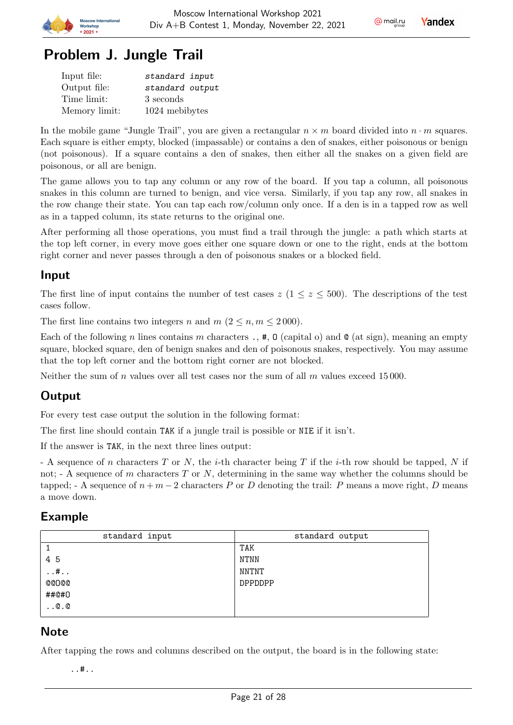

# Problem J. Jungle Trail

| Input file:   | standard input  |
|---------------|-----------------|
| Output file:  | standard output |
| Time limit:   | 3 seconds       |
| Memory limit: | 1024 mebibytes  |

In the mobile game "Jungle Trail", you are given a rectangular  $n \times m$  board divided into  $n \cdot m$  squares. Each square is either empty, blocked (impassable) or contains a den of snakes, either poisonous or benign (not poisonous). If a square contains a den of snakes, then either all the snakes on a given field are poisonous, or all are benign.

The game allows you to tap any column or any row of the board. If you tap a column, all poisonous snakes in this column are turned to benign, and vice versa. Similarly, if you tap any row, all snakes in the row change their state. You can tap each row/column only once. If a den is in a tapped row as well as in a tapped column, its state returns to the original one.

After performing all those operations, you must find a trail through the jungle: a path which starts at the top left corner, in every move goes either one square down or one to the right, ends at the bottom right corner and never passes through a den of poisonous snakes or a blocked field.

#### Input

The first line of input contains the number of test cases  $z (1 \le z \le 500)$ . The descriptions of the test cases follow.

The first line contains two integers *n* and  $m (2 \le n, m \le 2000)$ .

Each of the following *n* lines contains *m* characters .,  $\#$ ,  $\theta$  (capital o) and  $\theta$  (at sign), meaning an empty square, blocked square, den of benign snakes and den of poisonous snakes, respectively. You may assume that the top left corner and the bottom right corner are not blocked.

Neither the sum of  $n$  values over all test cases nor the sum of all  $m$  values exceed 15000.

# **Output**

For every test case output the solution in the following format:

The first line should contain TAK if a jungle trail is possible or NIE if it isn't.

If the answer is TAK, in the next three lines output:

- A sequence of *n* characters  $T$  or  $N$ , the *i*-th character being  $T$  if the *i*-th row should be tapped,  $N$  if not;  $\Delta$  - A sequence of m characters T or N, determining in the same way whether the columns should be tapped; - A sequence of  $n + m - 2$  characters P or D denoting the trail: P means a move right, D means a move down.

#### Example

| standard input | standard output |
|----------------|-----------------|
|                | TAK             |
| 45             | NTNN            |
| $\dots$ #      | NNTNT           |
| <b>@@D@@</b>   | <b>DPPDDPP</b>  |
| ##@#0          |                 |
| $\ldots 0.0$   |                 |
|                |                 |

#### **Note**

After tapping the rows and columns described on the output, the board is in the following state:

..#..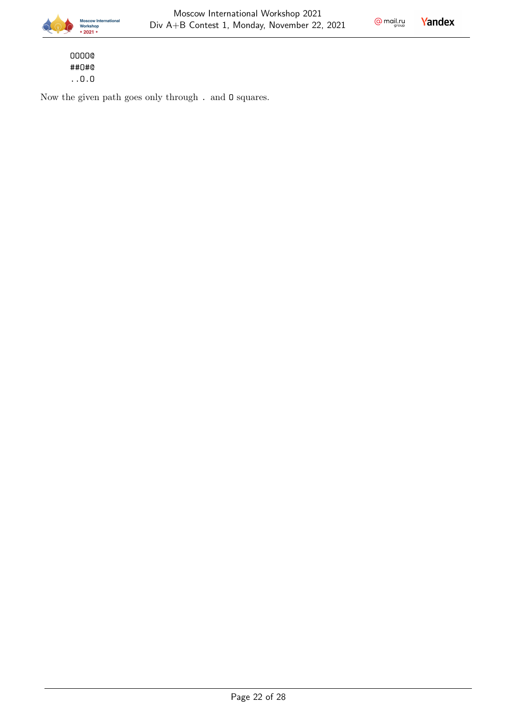$Q$  mail.ru

Yandex

OOOO@ ##O#@ ..O.O

Now the given path goes only through . and O squares.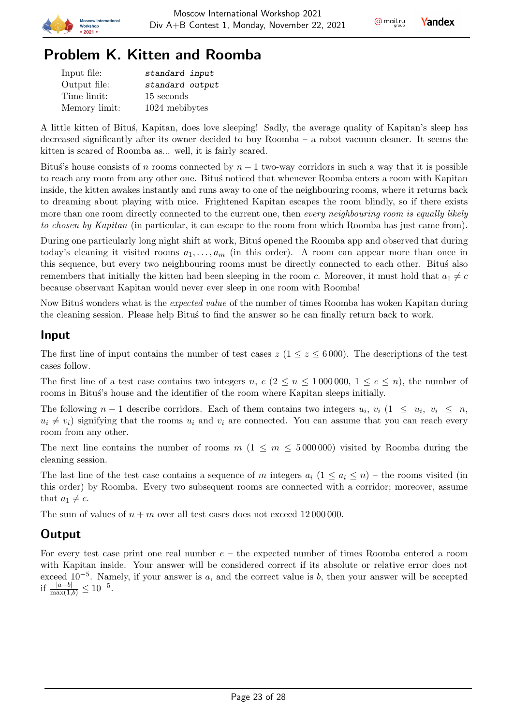





# Problem K. Kitten and Roomba

| Input file:   | standard input  |
|---------------|-----------------|
| Output file:  | standard output |
| Time limit:   | 15 seconds      |
| Memory limit: | 1024 mebibytes  |

A little kitten of Bitus, Kapitan, does love sleeping! Sadly, the average quality of Kapitan's sleep has decreased significantly after its owner decided to buy Roomba – a robot vacuum cleaner. It seems the kitten is scared of Roomba as... well, it is fairly scared.

Bitus's house consists of *n* rooms connected by  $n - 1$  two-way corridors in such a way that it is possible to reach any room from any other one. Bitus noticed that whenever Roomba enters a room with Kapitan inside, the kitten awakes instantly and runs away to one of the neighbouring rooms, where it returns back to dreaming about playing with mice. Frightened Kapitan escapes the room blindly, so if there exists more than one room directly connected to the current one, then every neighbouring room is equally likely to chosen by Kapitan (in particular, it can escape to the room from which Roomba has just came from).

During one particularly long night shift at work, Bitus' opened the Roomba app and observed that during today's cleaning it visited rooms  $a_1, \ldots, a_m$  (in this order). A room can appear more than once in this sequence, but every two neighbouring rooms must be directly connected to each other. Bitus also remembers that initially the kitten had been sleeping in the room c. Moreover, it must hold that  $a_1 \neq c$ because observant Kapitan would never ever sleep in one room with Roomba!

Now Bitus wonders what is the *expected value* of the number of times Roomba has woken Kapitan during the cleaning session. Please help Bitus to find the answer so he can finally return back to work.

#### Input

The first line of input contains the number of test cases  $z$  ( $1 \le z \le 6000$ ). The descriptions of the test cases follow.

The first line of a test case contains two integers n,  $c$  ( $2 \le n \le 1000000$ ,  $1 \le c \le n$ ), the number of rooms in Bitus's house and the identifier of the room where Kapitan sleeps initially.

The following  $n-1$  describe corridors. Each of them contains two integers  $u_i, v_i$  ( $1 \leq u_i, v_i \leq n$ ,  $u_i \neq v_i$ ) signifying that the rooms  $u_i$  and  $v_i$  are connected. You can assume that you can reach every room from any other.

The next line contains the number of rooms  $m(1 \le m \le 5000000)$  visited by Roomba during the cleaning session.

The last line of the test case contains a sequence of m integers  $a_i$  (1  $\le a_i \le n$ ) – the rooms visited (in this order) by Roomba. Every two subsequent rooms are connected with a corridor; moreover, assume that  $a_1 \neq c$ .

The sum of values of  $n + m$  over all test cases does not exceed 12000000.

# **Output**

For every test case print one real number  $e$  – the expected number of times Roomba entered a room with Kapitan inside. Your answer will be considered correct if its absolute or relative error does not exceed  $10^{-5}$ . Namely, if your answer is a, and the correct value is b, then your answer will be accepted if  $\frac{|a-b|}{\max(1,b)} \leq 10^{-5}$ .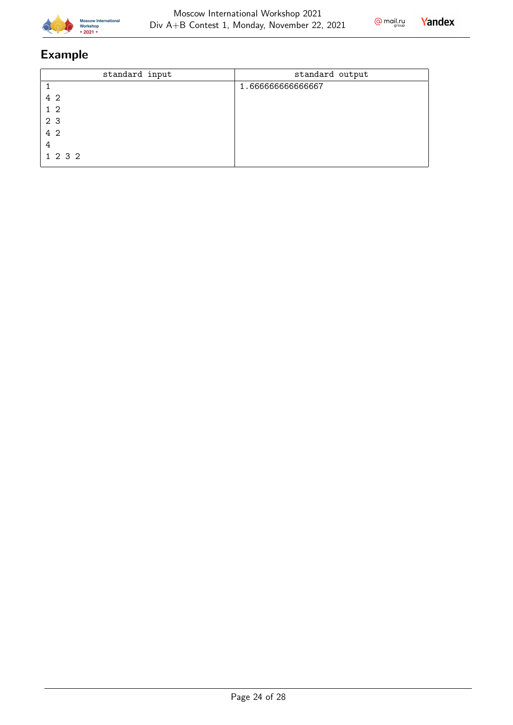



# Example

| standard input | standard output  |
|----------------|------------------|
|                | 1.66666666666667 |
| 4 2            |                  |
| $1\quad2$      |                  |
| 2 <sub>3</sub> |                  |
| 4 2            |                  |
| 4              |                  |
| 1 2 3 2        |                  |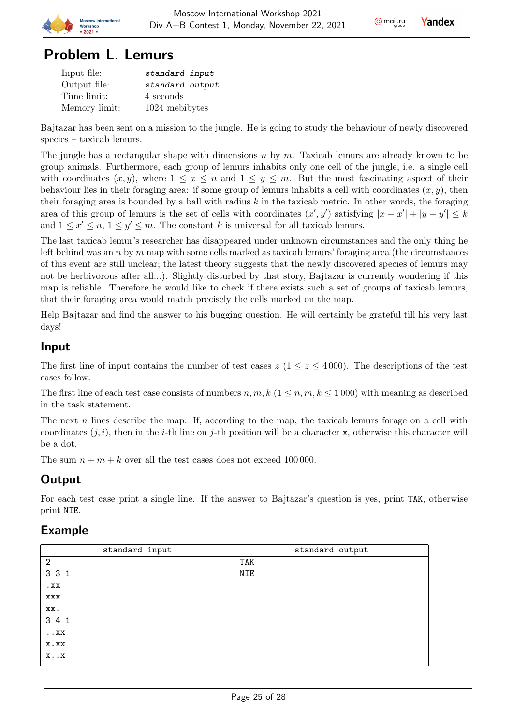



# Problem L. Lemurs

| Input file:   | standard input  |
|---------------|-----------------|
| Output file:  | standard output |
| Time limit:   | 4 seconds       |
| Memory limit: | 1024 mebibytes  |

Bajtazar has been sent on a mission to the jungle. He is going to study the behaviour of newly discovered species – taxicab lemurs.

The jungle has a rectangular shape with dimensions  $n \times m$ . Taxicab lemurs are already known to be group animals. Furthermore, each group of lemurs inhabits only one cell of the jungle, i.e. a single cell with coordinates  $(x, y)$ , where  $1 \le x \le n$  and  $1 \le y \le m$ . But the most fascinating aspect of their behaviour lies in their foraging area: if some group of lemurs inhabits a cell with coordinates  $(x, y)$ , then their foraging area is bounded by a ball with radius  $k$  in the taxicab metric. In other words, the foraging area of this group of lemurs is the set of cells with coordinates  $(x', y')$  satisfying  $|x - x'| + |y - y'| \leq k$ and  $1 \leq x' \leq n, 1 \leq y' \leq m$ . The constant k is universal for all taxicab lemurs.

The last taxicab lemur's researcher has disappeared under unknown circumstances and the only thing he left behind was an  $n$  by  $m$  map with some cells marked as taxicab lemurs' foraging area (the circumstances of this event are still unclear; the latest theory suggests that the newly discovered species of lemurs may not be herbivorous after all...). Slightly disturbed by that story, Bajtazar is currently wondering if this map is reliable. Therefore he would like to check if there exists such a set of groups of taxicab lemurs, that their foraging area would match precisely the cells marked on the map.

Help Bajtazar and find the answer to his bugging question. He will certainly be grateful till his very last days!

#### Input

The first line of input contains the number of test cases  $z (1 \le z \le 4000)$ . The descriptions of the test cases follow.

The first line of each test case consists of numbers  $n, m, k$  ( $1 \leq n, m, k \leq 1000$ ) with meaning as described in the task statement.

The next  $n$  lines describe the map. If, according to the map, the taxicab lemurs forage on a cell with coordinates  $(i, i)$ , then in the *i*-th line on *j*-th position will be a character x, otherwise this character will be a dot.

The sum  $n + m + k$  over all the test cases does not exceed 100 000.

# **Output**

For each test case print a single line. If the answer to Bajtazar's question is yes, print TAK, otherwise print NIE.

# Example

| standard input           | standard output |
|--------------------------|-----------------|
| $\overline{2}$           | TAK             |
| 3 3 1                    | NIE             |
| $_{\rm xX}$              |                 |
| XXX                      |                 |
| XX.                      |                 |
| 3 4 1                    |                 |
| $\boldsymbol{\ldots}$ XX |                 |
| X.XX                     |                 |
| $x \cdot x$              |                 |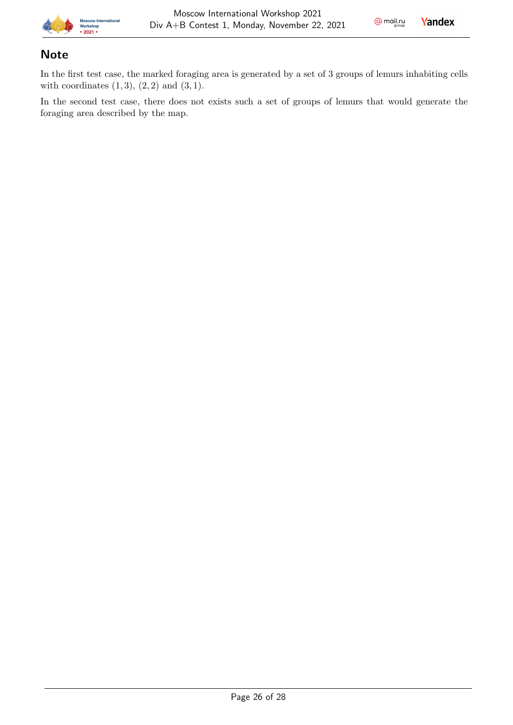

# **Note**

In the first test case, the marked foraging area is generated by a set of 3 groups of lemurs inhabiting cells with coordinates  $(1, 3), (2, 2)$  and  $(3, 1)$ .

In the second test case, there does not exists such a set of groups of lemurs that would generate the foraging area described by the map.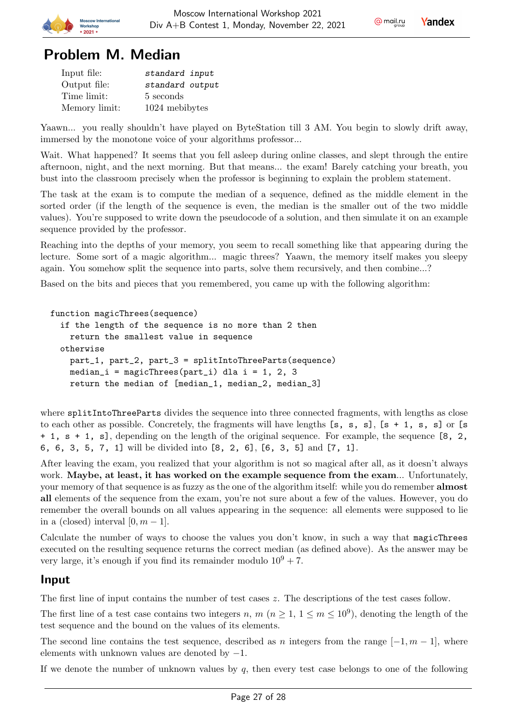



# Problem M. Median

| Input file:   | standard input  |
|---------------|-----------------|
| Output file:  | standard output |
| Time limit:   | 5 seconds       |
| Memory limit: | 1024 mebibytes  |

Yaawn... you really shouldn't have played on ByteStation till 3 AM. You begin to slowly drift away, immersed by the monotone voice of your algorithms professor...

Wait. What happened? It seems that you fell asleep during online classes, and slept through the entire afternoon, night, and the next morning. But that means... the exam! Barely catching your breath, you bust into the classroom precisely when the professor is beginning to explain the problem statement.

The task at the exam is to compute the median of a sequence, defined as the middle element in the sorted order (if the length of the sequence is even, the median is the smaller out of the two middle values). You're supposed to write down the pseudocode of a solution, and then simulate it on an example sequence provided by the professor.

Reaching into the depths of your memory, you seem to recall something like that appearing during the lecture. Some sort of a magic algorithm... magic threes? Yaawn, the memory itself makes you sleepy again. You somehow split the sequence into parts, solve them recursively, and then combine...?

Based on the bits and pieces that you remembered, you came up with the following algorithm:

```
function magicThrees(sequence)
```

```
if the length of the sequence is no more than 2 then
  return the smallest value in sequence
otherwise
 part_1, part_2, part_3 = splitIntoThreeParts(sequence)
 median_i = magicThrees(part_i) dla i = 1, 2, 3
  return the median of [median_1, median_2, median_3]
```
where splitIntoThreeParts divides the sequence into three connected fragments, with lengths as close to each other as possible. Concretely, the fragments will have lengths  $[s, s, s]$ ,  $[s + 1, s, s]$  or  $[s$ + 1, s + 1, s], depending on the length of the original sequence. For example, the sequence [8, 2, 6, 6, 3, 5, 7, 1] will be divided into [8, 2, 6], [6, 3, 5] and [7, 1].

After leaving the exam, you realized that your algorithm is not so magical after all, as it doesn't always work. Maybe, at least, it has worked on the example sequence from the exam... Unfortunately, your memory of that sequence is as fuzzy as the one of the algorithm itself: while you do remember almost all elements of the sequence from the exam, you're not sure about a few of the values. However, you do remember the overall bounds on all values appearing in the sequence: all elements were supposed to lie in a (closed) interval  $[0, m-1]$ .

Calculate the number of ways to choose the values you don't know, in such a way that magicThrees executed on the resulting sequence returns the correct median (as defined above). As the answer may be very large, it's enough if you find its remainder modulo  $10^9 + 7$ .

#### Input

The first line of input contains the number of test cases  $z$ . The descriptions of the test cases follow.

The first line of a test case contains two integers n, m  $(n \geq 1, 1 \leq m \leq 10^9)$ , denoting the length of the test sequence and the bound on the values of its elements.

The second line contains the test sequence, described as *n* integers from the range  $[-1, m - 1]$ , where elements with unknown values are denoted by  $-1$ .

If we denote the number of unknown values by  $q$ , then every test case belongs to one of the following